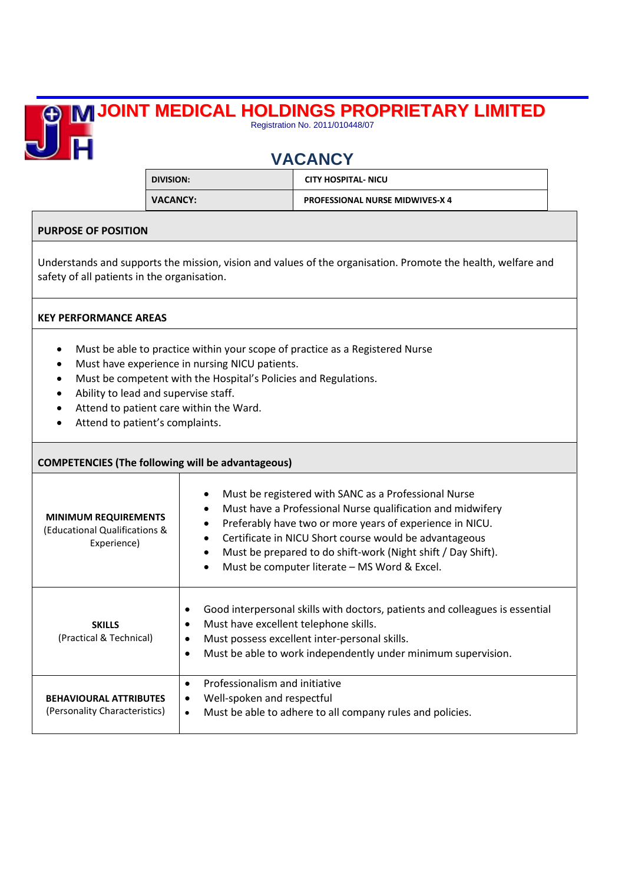## **JOINT MEDICAL HOLDINGS PROPRIETARY LIMITED** 直

## **VACANCY**

Registration No. 2011/010448/07

| DIVISION:       | <b>CITY HOSPITAL- NICU</b>             |
|-----------------|----------------------------------------|
| <b>VACANCY:</b> | <b>PROFESSIONAL NURSE MIDWIVES-X 4</b> |

## **PURPOSE OF POSITION**

Understands and supports the mission, vision and values of the organisation. Promote the health, welfare and safety of all patients in the organisation.

## **KEY PERFORMANCE AREAS**

- Must be able to practice within your scope of practice as a Registered Nurse
- Must have experience in nursing NICU patients.
- Must be competent with the Hospital's Policies and Regulations.
- Ability to lead and supervise staff.
- Attend to patient care within the Ward.
- Attend to patient's complaints.

| <b>COMPETENCIES (The following will be advantageous)</b>                    |                                                                                                                                                                                                                                                                                                                                                                       |  |
|-----------------------------------------------------------------------------|-----------------------------------------------------------------------------------------------------------------------------------------------------------------------------------------------------------------------------------------------------------------------------------------------------------------------------------------------------------------------|--|
| <b>MINIMUM REQUIREMENTS</b><br>(Educational Qualifications &<br>Experience) | Must be registered with SANC as a Professional Nurse<br>Must have a Professional Nurse qualification and midwifery<br>Preferably have two or more years of experience in NICU.<br>Certificate in NICU Short course would be advantageous<br>Must be prepared to do shift-work (Night shift / Day Shift).<br>Must be computer literate - MS Word & Excel.<br>$\bullet$ |  |
| <b>SKILLS</b><br>(Practical & Technical)                                    | Good interpersonal skills with doctors, patients and colleagues is essential<br>٠<br>Must have excellent telephone skills.<br>Must possess excellent inter-personal skills.<br>$\bullet$<br>Must be able to work independently under minimum supervision.<br>$\bullet$                                                                                                |  |
| <b>BEHAVIOURAL ATTRIBUTES</b><br>(Personality Characteristics)              | Professionalism and initiative<br>$\bullet$<br>Well-spoken and respectful<br>٠<br>Must be able to adhere to all company rules and policies.<br>$\bullet$                                                                                                                                                                                                              |  |